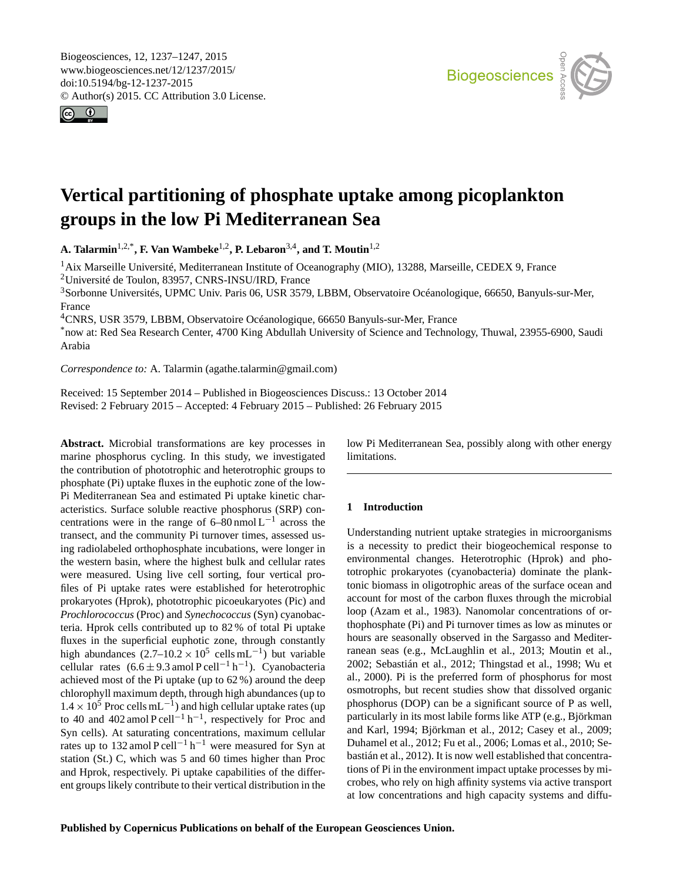<span id="page-0-1"></span>Biogeosciences, 12, 1237–1247, 2015 www.biogeosciences.net/12/1237/2015/ doi:10.5194/bg-12-1237-2015 © Author(s) 2015. CC Attribution 3.0 License.





# **Vertical partitioning of phosphate uptake among picoplankton groups in the low Pi Mediterranean Sea**

**A. Talarmin**[1,2,\\*](#page-0-0) **, F. Van Wambeke**[1,2](#page-0-0) **, P. Lebaron**[3,4](#page-0-0) **, and T. Moutin**[1,2](#page-0-0)

<sup>1</sup> Aix Marseille Université, Mediterranean Institute of Oceanography (MIO), 13288, Marseille, CEDEX 9, France <sup>2</sup>Université de Toulon, 83957, CNRS-INSU/IRD, France

<sup>3</sup>Sorbonne Universités, UPMC Univ. Paris 06, USR 3579, LBBM, Observatoire Océanologique, 66650, Banyuls-sur-Mer, France

<sup>4</sup>CNRS, USR 3579, LBBM, Observatoire Océanologique, 66650 Banyuls-sur-Mer, France

\*now at: Red Sea Research Center, 4700 King Abdullah University of Science and Technology, Thuwal, 23955-6900, Saudi Arabia

*Correspondence to:* A. Talarmin (agathe.talarmin@gmail.com)

Received: 15 September 2014 – Published in Biogeosciences Discuss.: 13 October 2014 Revised: 2 February 2015 – Accepted: 4 February 2015 – Published: 26 February 2015

<span id="page-0-0"></span>**Abstract.** Microbial transformations are key processes in marine phosphorus cycling. In this study, we investigated the contribution of phototrophic and heterotrophic groups to phosphate (Pi) uptake fluxes in the euphotic zone of the low-Pi Mediterranean Sea and estimated Pi uptake kinetic characteristics. Surface soluble reactive phosphorus (SRP) concentrations were in the range of  $6-80$  nmol L<sup>-1</sup> across the transect, and the community Pi turnover times, assessed using radiolabeled orthophosphate incubations, were longer in the western basin, where the highest bulk and cellular rates were measured. Using live cell sorting, four vertical profiles of Pi uptake rates were established for heterotrophic prokaryotes (Hprok), phototrophic picoeukaryotes (Pic) and *Prochlorococcus* (Proc) and *Synechococcus* (Syn) cyanobacteria. Hprok cells contributed up to 82 % of total Pi uptake fluxes in the superficial euphotic zone, through constantly high abundances  $(2.7-10.2 \times 10^5 \text{ cells} \text{mL}^{-1})$  but variable cellular rates  $(6.6 \pm 9.3 \text{ and } P \text{ cell}^{-1} \text{ h}^{-1})$ . Cyanobacteria achieved most of the Pi uptake (up to 62 %) around the deep chlorophyll maximum depth, through high abundances (up to  $1.4 \times 10^5$  Proc cells mL<sup>-1</sup>) and high cellular uptake rates (up to 40 and 402 amol P cell<sup>-1</sup> h<sup>-1</sup>, respectively for Proc and Syn cells). At saturating concentrations, maximum cellular rates up to 132 amol P cell<sup>-1</sup> h<sup>-1</sup> were measured for Syn at station (St.) C, which was 5 and 60 times higher than Proc and Hprok, respectively. Pi uptake capabilities of the different groups likely contribute to their vertical distribution in the low Pi Mediterranean Sea, possibly along with other energy limitations.

### **1 Introduction**

Understanding nutrient uptake strategies in microorganisms is a necessity to predict their biogeochemical response to environmental changes. Heterotrophic (Hprok) and phototrophic prokaryotes (cyanobacteria) dominate the planktonic biomass in oligotrophic areas of the surface ocean and account for most of the carbon fluxes through the microbial loop (Azam et al., 1983). Nanomolar concentrations of orthophosphate (Pi) and Pi turnover times as low as minutes or hours are seasonally observed in the Sargasso and Mediterranean seas (e.g., McLaughlin et al., 2013; Moutin et al., 2002; Sebastián et al., 2012; Thingstad et al., 1998; Wu et al., 2000). Pi is the preferred form of phosphorus for most osmotrophs, but recent studies show that dissolved organic phosphorus (DOP) can be a significant source of P as well, particularly in its most labile forms like ATP (e.g., Björkman and Karl, 1994; Björkman et al., 2012; Casey et al., 2009; Duhamel et al., 2012; Fu et al., 2006; Lomas et al., 2010; Sebastián et al., 2012). It is now well established that concentrations of Pi in the environment impact uptake processes by microbes, who rely on high affinity systems via active transport at low concentrations and high capacity systems and diffu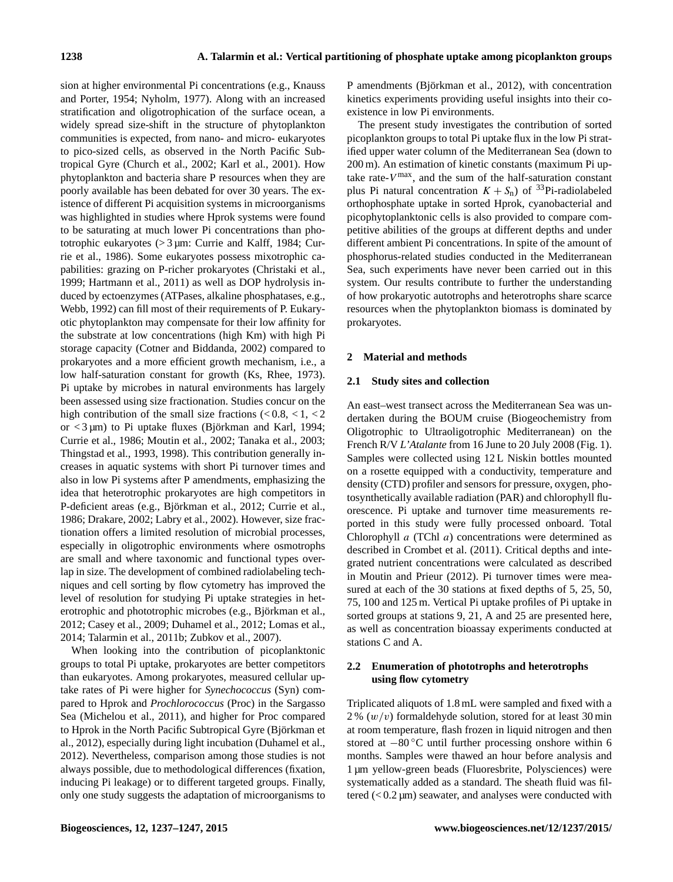sion at higher environmental Pi concentrations (e.g., Knauss and Porter, 1954; Nyholm, 1977). Along with an increased stratification and oligotrophication of the surface ocean, a widely spread size-shift in the structure of phytoplankton communities is expected, from nano- and micro- eukaryotes to pico-sized cells, as observed in the North Pacific Subtropical Gyre (Church et al., 2002; Karl et al., 2001). How phytoplankton and bacteria share P resources when they are poorly available has been debated for over 30 years. The existence of different Pi acquisition systems in microorganisms was highlighted in studies where Hprok systems were found to be saturating at much lower Pi concentrations than phototrophic eukaryotes ( $>$ 3 µm: Currie and Kalff, 1984; Currie et al., 1986). Some eukaryotes possess mixotrophic capabilities: grazing on P-richer prokaryotes (Christaki et al., 1999; Hartmann et al., 2011) as well as DOP hydrolysis induced by ectoenzymes (ATPases, alkaline phosphatases, e.g., Webb, 1992) can fill most of their requirements of P. Eukaryotic phytoplankton may compensate for their low affinity for the substrate at low concentrations (high Km) with high Pi storage capacity (Cotner and Biddanda, 2002) compared to prokaryotes and a more efficient growth mechanism, i.e., a low half-saturation constant for growth (Ks, Rhee, 1973). Pi uptake by microbes in natural environments has largely been assessed using size fractionation. Studies concur on the high contribution of the small size fractions  $(< 0.8, < 1, < 2$ or  $<$ 3  $\mu$ m) to Pi uptake fluxes (Björkman and Karl, 1994; Currie et al., 1986; Moutin et al., 2002; Tanaka et al., 2003; Thingstad et al., 1993, 1998). This contribution generally increases in aquatic systems with short Pi turnover times and also in low Pi systems after P amendments, emphasizing the idea that heterotrophic prokaryotes are high competitors in P-deficient areas (e.g., Björkman et al., 2012; Currie et al., 1986; Drakare, 2002; Labry et al., 2002). However, size fractionation offers a limited resolution of microbial processes, especially in oligotrophic environments where osmotrophs are small and where taxonomic and functional types overlap in size. The development of combined radiolabeling techniques and cell sorting by flow cytometry has improved the level of resolution for studying Pi uptake strategies in heterotrophic and phototrophic microbes (e.g., Björkman et al., 2012; Casey et al., 2009; Duhamel et al., 2012; Lomas et al., 2014; Talarmin et al., 2011b; Zubkov et al., 2007).

When looking into the contribution of picoplanktonic groups to total Pi uptake, prokaryotes are better competitors than eukaryotes. Among prokaryotes, measured cellular uptake rates of Pi were higher for *Synechococcus* (Syn) compared to Hprok and *Prochlorococcus* (Proc) in the Sargasso Sea (Michelou et al., 2011), and higher for Proc compared to Hprok in the North Pacific Subtropical Gyre (Björkman et al., 2012), especially during light incubation (Duhamel et al., 2012). Nevertheless, comparison among those studies is not always possible, due to methodological differences (fixation, inducing Pi leakage) or to different targeted groups. Finally, only one study suggests the adaptation of microorganisms to P amendments (Björkman et al., 2012), with concentration kinetics experiments providing useful insights into their coexistence in low Pi environments.

The present study investigates the contribution of sorted picoplankton groups to total Pi uptake flux in the low Pi stratified upper water column of the Mediterranean Sea (down to 200 m). An estimation of kinetic constants (maximum Pi uptake rate- $V^{\text{max}}$ , and the sum of the half-saturation constant plus Pi natural concentration  $K + S_n$ ) of <sup>33</sup>Pi-radiolabeled orthophosphate uptake in sorted Hprok, cyanobacterial and picophytoplanktonic cells is also provided to compare competitive abilities of the groups at different depths and under different ambient Pi concentrations. In spite of the amount of phosphorus-related studies conducted in the Mediterranean Sea, such experiments have never been carried out in this system. Our results contribute to further the understanding of how prokaryotic autotrophs and heterotrophs share scarce resources when the phytoplankton biomass is dominated by prokaryotes.

# **2 Material and methods**

# **2.1 Study sites and collection**

An east–west transect across the Mediterranean Sea was undertaken during the BOUM cruise (Biogeochemistry from Oligotrophic to Ultraoligotrophic Mediterranean) on the French R/V *L'Atalante* from 16 June to 20 July 2008 (Fig. 1). Samples were collected using 12 L Niskin bottles mounted on a rosette equipped with a conductivity, temperature and density (CTD) profiler and sensors for pressure, oxygen, photosynthetically available radiation (PAR) and chlorophyll fluorescence. Pi uptake and turnover time measurements reported in this study were fully processed onboard. Total Chlorophyll a (TChl a) concentrations were determined as described in Crombet et al. (2011). Critical depths and integrated nutrient concentrations were calculated as described in Moutin and Prieur (2012). Pi turnover times were measured at each of the 30 stations at fixed depths of 5, 25, 50, 75, 100 and 125 m. Vertical Pi uptake profiles of Pi uptake in sorted groups at stations 9, 21, A and 25 are presented here, as well as concentration bioassay experiments conducted at stations C and A.

# **2.2 Enumeration of phototrophs and heterotrophs using flow cytometry**

Triplicated aliquots of 1.8 mL were sampled and fixed with a 2 %  $(w/v)$  formaldehyde solution, stored for at least 30 min at room temperature, flash frozen in liquid nitrogen and then stored at −80 ◦C until further processing onshore within 6 months. Samples were thawed an hour before analysis and 1 µm yellow-green beads (Fluoresbrite, Polysciences) were systematically added as a standard. The sheath fluid was filtered  $(< 0.2 \,\mu m$ ) seawater, and analyses were conducted with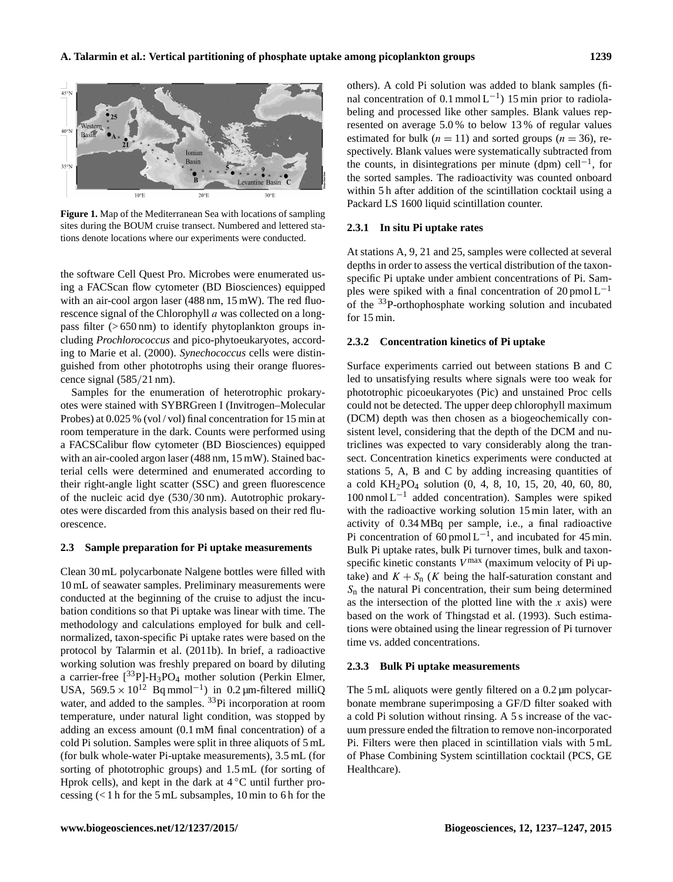

**Figure 1.** Map of the Mediterranean Sea with locations of sampling sites during the BOUM cruise transect. Numbered and lettered stations denote locations where our experiments were conducted.

the software Cell Quest Pro. Microbes were enumerated using a FACScan flow cytometer (BD Biosciences) equipped with an air-cool argon laser (488 nm, 15 mW). The red fluorescence signal of the Chlorophyll a was collected on a longpass filter  $(> 650 \text{ nm})$  to identify phytoplankton groups including *Prochlorococcus* and pico-phytoeukaryotes, according to Marie et al. (2000). *Synechococcus* cells were distinguished from other phototrophs using their orange fluorescence signal (585/21 nm).

Samples for the enumeration of heterotrophic prokaryotes were stained with SYBRGreen I (Invitrogen–Molecular Probes) at 0.025 % (vol / vol) final concentration for 15 min at room temperature in the dark. Counts were performed using a FACSCalibur flow cytometer (BD Biosciences) equipped with an air-cooled argon laser (488 nm, 15 mW). Stained bacterial cells were determined and enumerated according to their right-angle light scatter (SSC) and green fluorescence of the nucleic acid dye (530/30 nm). Autotrophic prokaryotes were discarded from this analysis based on their red fluorescence.

#### **2.3 Sample preparation for Pi uptake measurements**

Clean 30 mL polycarbonate Nalgene bottles were filled with 10 mL of seawater samples. Preliminary measurements were conducted at the beginning of the cruise to adjust the incubation conditions so that Pi uptake was linear with time. The methodology and calculations employed for bulk and cellnormalized, taxon-specific Pi uptake rates were based on the protocol by Talarmin et al. (2011b). In brief, a radioactive working solution was freshly prepared on board by diluting a carrier-free  $[^{33}P]$ -H<sub>3</sub>PO<sub>4</sub> mother solution (Perkin Elmer, USA,  $569.5 \times 10^{12}$  Bq mmol<sup>-1</sup>) in 0.2 µm-filtered milliQ water, and added to the samples. <sup>33</sup>Pi incorporation at room temperature, under natural light condition, was stopped by adding an excess amount (0.1 mM final concentration) of a cold Pi solution. Samples were split in three aliquots of 5 mL (for bulk whole-water Pi-uptake measurements), 3.5 mL (for sorting of phototrophic groups) and 1.5 mL (for sorting of Hprok cells), and kept in the dark at  $4^{\circ}$ C until further processing (< 1 h for the 5 mL subsamples, 10 min to 6 h for the

others). A cold Pi solution was added to blank samples (final concentration of 0.1 mmol  $L^{-1}$ ) 15 min prior to radiolabeling and processed like other samples. Blank values represented on average 5.0 % to below 13 % of regular values estimated for bulk ( $n = 11$ ) and sorted groups ( $n = 36$ ), respectively. Blank values were systematically subtracted from the counts, in disintegrations per minute (dpm) cell−<sup>1</sup> , for the sorted samples. The radioactivity was counted onboard within 5 h after addition of the scintillation cocktail using a Packard LS 1600 liquid scintillation counter.

### **2.3.1 In situ Pi uptake rates**

At stations A, 9, 21 and 25, samples were collected at several depths in order to assess the vertical distribution of the taxonspecific Pi uptake under ambient concentrations of Pi. Samples were spiked with a final concentration of 20 pmol  $L^{-1}$ of the <sup>33</sup>P-orthophosphate working solution and incubated for 15 min.

#### **2.3.2 Concentration kinetics of Pi uptake**

Surface experiments carried out between stations B and C led to unsatisfying results where signals were too weak for phototrophic picoeukaryotes (Pic) and unstained Proc cells could not be detected. The upper deep chlorophyll maximum (DCM) depth was then chosen as a biogeochemically consistent level, considering that the depth of the DCM and nutriclines was expected to vary considerably along the transect. Concentration kinetics experiments were conducted at stations 5, A, B and C by adding increasing quantities of a cold KH2PO<sup>4</sup> solution (0, 4, 8, 10, 15, 20, 40, 60, 80, 100 nmol L−<sup>1</sup> added concentration). Samples were spiked with the radioactive working solution 15 min later, with an activity of 0.34 MBq per sample, i.e., a final radioactive Pi concentration of  $60$  pmol L<sup>-1</sup>, and incubated for 45 min. Bulk Pi uptake rates, bulk Pi turnover times, bulk and taxonspecific kinetic constants  $V^{\text{max}}$  (maximum velocity of Pi uptake) and  $K + S_n$  (K being the half-saturation constant and  $S_n$  the natural Pi concentration, their sum being determined as the intersection of the plotted line with the  $x$  axis) were based on the work of Thingstad et al. (1993). Such estimations were obtained using the linear regression of Pi turnover time vs. added concentrations.

# **2.3.3 Bulk Pi uptake measurements**

The 5 mL aliquots were gently filtered on a 0.2 µm polycarbonate membrane superimposing a GF/D filter soaked with a cold Pi solution without rinsing. A 5 s increase of the vacuum pressure ended the filtration to remove non-incorporated Pi. Filters were then placed in scintillation vials with 5 mL of Phase Combining System scintillation cocktail (PCS, GE Healthcare).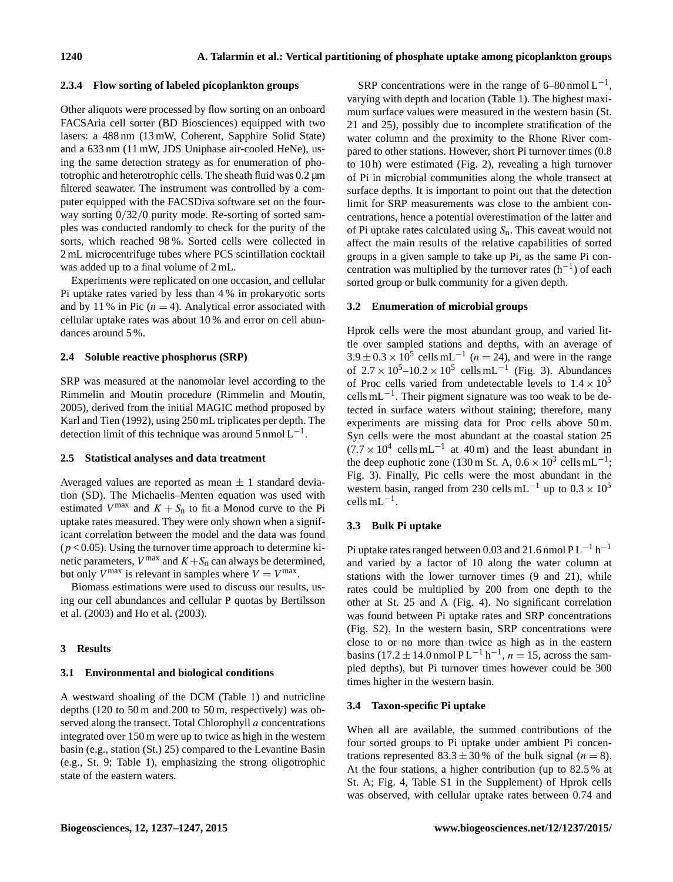### **2.3.4 Flow sorting of labeled picoplankton groups**

Other aliquots were processed by flow sorting on an onboard FACSAria cell sorter (BD Biosciences) equipped with two lasers: a 488 nm (13 mW, Coherent, Sapphire Solid State) and a 633 nm (11 mW, JDS Uniphase air-cooled HeNe), using the same detection strategy as for enumeration of phototrophic and heterotrophic cells. The sheath fluid was 0.2 µm filtered seawater. The instrument was controlled by a computer equipped with the FACSDiva software set on the fourway sorting 0/32/0 purity mode. Re-sorting of sorted samples was conducted randomly to check for the purity of the sorts, which reached 98 %. Sorted cells were collected in 2 mL microcentrifuge tubes where PCS scintillation cocktail was added up to a final volume of 2 mL.

Experiments were replicated on one occasion, and cellular Pi uptake rates varied by less than 4 % in prokaryotic sorts and by 11 % in Pic  $(n = 4)$ . Analytical error associated with cellular uptake rates was about 10 % and error on cell abundances around 5 %.

# **2.4 Soluble reactive phosphorus (SRP)**

SRP was measured at the nanomolar level according to the Rimmelin and Moutin procedure (Rimmelin and Moutin, 2005), derived from the initial MAGIC method proposed by Karl and Tien (1992), using 250 mL triplicates per depth. The detection limit of this technique was around  $5$  nmol  $L^{-1}$ .

# **2.5 Statistical analyses and data treatment**

Averaged values are reported as mean  $\pm$  1 standard deviation (SD). The Michaelis–Menten equation was used with estimated  $V^{\text{max}}$  and  $K + S_n$  to fit a Monod curve to the Pi uptake rates measured. They were only shown when a significant correlation between the model and the data was found  $(p < 0.05)$ . Using the turnover time approach to determine kinetic parameters,  $V^{\text{max}}$  and  $K + S_n$  can always be determined, but only  $V^{\text{max}}$  is relevant in samples where  $V = V^{\text{max}}$ .

Biomass estimations were used to discuss our results, using our cell abundances and cellular P quotas by Bertilsson et al. (2003) and Ho et al. (2003).

# **3 Results**

# **3.1 Environmental and biological conditions**

A westward shoaling of the DCM (Table 1) and nutricline depths (120 to 50 m and 200 to 50 m, respectively) was observed along the transect. Total Chlorophyll a concentrations integrated over 150 m were up to twice as high in the western basin (e.g., station (St.) 25) compared to the Levantine Basin (e.g., St. 9; Table 1), emphasizing the strong oligotrophic state of the eastern waters.

SRP concentrations were in the range of 6–80 nmol  $L^{-1}$ , varying with depth and location (Table 1). The highest maximum surface values were measured in the western basin (St. 21 and 25), possibly due to incomplete stratification of the water column and the proximity to the Rhone River compared to other stations. However, short Pi turnover times (0.8 to 10 h) were estimated (Fig. 2), revealing a high turnover of Pi in microbial communities along the whole transect at surface depths. It is important to point out that the detection limit for SRP measurements was close to the ambient concentrations, hence a potential overestimation of the latter and of Pi uptake rates calculated using  $S_n$ . This caveat would not affect the main results of the relative capabilities of sorted groups in a given sample to take up Pi, as the same Pi concentration was multiplied by the turnover rates  $(h^{-1})$  of each sorted group or bulk community for a given depth.

# **3.2 Enumeration of microbial groups**

Hprok cells were the most abundant group, and varied little over sampled stations and depths, with an average of  $3.9 \pm 0.3 \times 10^5$  cells mL<sup>-1</sup> (n = 24), and were in the range of  $2.7 \times 10^5$  –10.2 × 10<sup>5</sup> cells mL<sup>-1</sup> (Fig. 3). Abundances of Proc cells varied from undetectable levels to  $1.4 \times 10^5$ cells mL−<sup>1</sup> . Their pigment signature was too weak to be detected in surface waters without staining; therefore, many experiments are missing data for Proc cells above 50 m. Syn cells were the most abundant at the coastal station 25  $(7.7 \times 10^4 \text{ cells mL}^{-1}$  at 40 m) and the least abundant in the deep euphotic zone (130 m St. A,  $0.6 \times 10^3$  cells mL<sup>-1</sup>; Fig. 3). Finally, Pic cells were the most abundant in the western basin, ranged from 230 cells mL<sup>-1</sup> up to  $0.3 \times 10^5$ cells mL−<sup>1</sup> .

# **3.3 Bulk Pi uptake**

Pi uptake rates ranged between 0.03 and 21.6 nmol  $PL^{-1}$  h<sup>-1</sup> and varied by a factor of 10 along the water column at stations with the lower turnover times (9 and 21), while rates could be multiplied by 200 from one depth to the other at St. 25 and A (Fig. 4). No significant correlation was found between Pi uptake rates and SRP concentrations (Fig. S2). In the western basin, SRP concentrations were close to or no more than twice as high as in the eastern basins (17.2 ± 14.0 nmol PL<sup>-1</sup> h<sup>-1</sup>,  $n = 15$ , across the sampled depths), but Pi turnover times however could be 300 times higher in the western basin.

# **3.4 Taxon-specific Pi uptake**

When all are available, the summed contributions of the four sorted groups to Pi uptake under ambient Pi concentrations represented  $83.3 \pm 30\%$  of the bulk signal ( $n = 8$ ). At the four stations, a higher contribution (up to 82.5 % at St. A; Fig. 4, Table S1 in the Supplement) of Hprok cells was observed, with cellular uptake rates between 0.74 and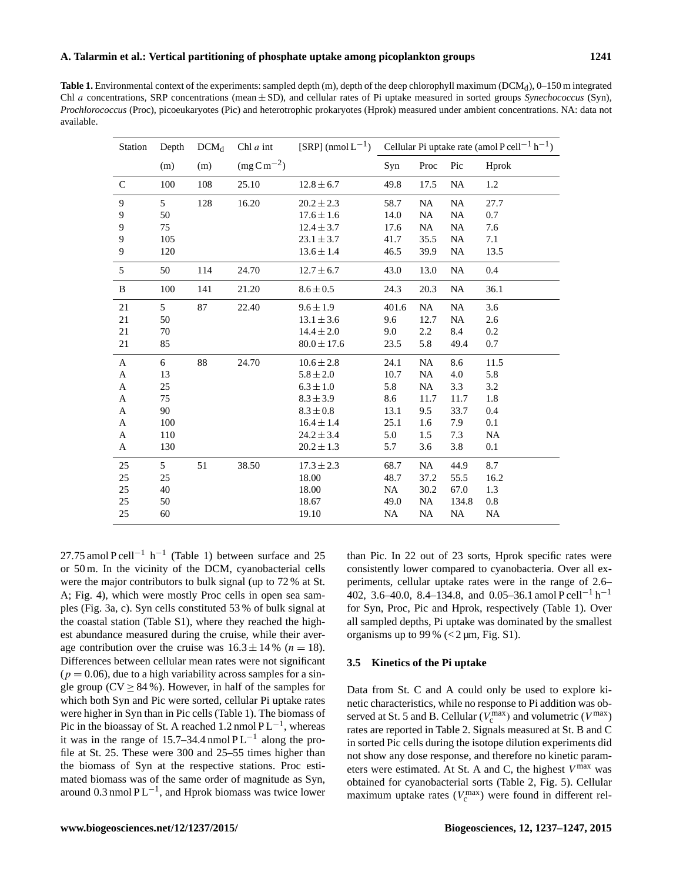Table 1. Environmental context of the experiments: sampled depth (m), depth of the deep chlorophyll maximum (DCM<sub>d</sub>), 0–150 m integrated Chl a concentrations, SRP concentrations (mean ± SD), and cellular rates of Pi uptake measured in sorted groups *Synechococcus* (Syn), *Prochlorococcus* (Proc), picoeukaryotes (Pic) and heterotrophic prokaryotes (Hprok) measured under ambient concentrations. NA: data not available.

| Station      | Depth          | $DCM_d$ | $Chl a$ int         | [SRP] $(nmol L^{-1})$ Cellular Pi uptake rate $(nmol P cell^{-1} h^{-1})$ |       |      |           |           |
|--------------|----------------|---------|---------------------|---------------------------------------------------------------------------|-------|------|-----------|-----------|
|              | (m)            | (m)     | $\rm (mg C m^{-2})$ |                                                                           | Syn   | Proc | Pic       | Hprok     |
| $\mathsf{C}$ | 100            | 108     | 25.10               | $12.8 \pm 6.7$                                                            | 49.8  | 17.5 | <b>NA</b> | 1.2       |
| 9            | 5 <sup>5</sup> | 128     | 16.20               | $20.2 \pm 2.3$                                                            | 58.7  | NA   | NA        | 27.7      |
| 9            | 50             |         |                     | $17.6 \pm 1.6$                                                            | 14.0  | NA   | <b>NA</b> | 0.7       |
| 9            | 75             |         |                     | $12.4 \pm 3.7$                                                            | 17.6  | NA   | <b>NA</b> | 7.6       |
| 9            | 105            |         |                     | $23.1 \pm 3.7$                                                            | 41.7  | 35.5 | <b>NA</b> | 7.1       |
| 9            | 120            |         |                     | $13.6 \pm 1.4$                                                            | 46.5  | 39.9 | NA        | 13.5      |
| 5            | 50             | 114     | 24.70               | $12.7 \pm 6.7$                                                            | 43.0  | 13.0 | <b>NA</b> | 0.4       |
| B            | 100            | 141     | 21.20               | $8.6 \pm 0.5$                                                             | 24.3  | 20.3 | NA        | 36.1      |
| 21           | 5              | 87      | 22.40               | $9.6 \pm 1.9$                                                             | 401.6 | NA   | <b>NA</b> | 3.6       |
| 21           | 50             |         |                     | $13.1 \pm 3.6$                                                            | 9.6   | 12.7 | NA        | 2.6       |
| 21           | 70             |         |                     | $14.4 \pm 2.0$                                                            | 9.0   | 2.2  | 8.4       | 0.2       |
| 21           | 85             |         |                     | $80.0 \pm 17.6$                                                           | 23.5  | 5.8  | 49.4      | 0.7       |
| $\mathbf A$  | 6              | 88      | 24.70               | $10.6 \pm 2.8$                                                            | 24.1  | NA   | 8.6       | 11.5      |
| A            | 13             |         |                     | $5.8 \pm 2.0$                                                             | 10.7  | NA   | 4.0       | 5.8       |
| A            | 25             |         |                     | $6.3 \pm 1.0$                                                             | 5.8   | NA   | 3.3       | 3.2       |
| $\mathbf A$  | 75             |         |                     | $8.3 \pm 3.9$                                                             | 8.6   | 11.7 | 11.7      | 1.8       |
| A            | 90             |         |                     | $8.3 \pm 0.8$                                                             | 13.1  | 9.5  | 33.7      | 0.4       |
| A            | 100            |         |                     | $16.4 \pm 1.4$                                                            | 25.1  | 1.6  | 7.9       | 0.1       |
| $\mathbf A$  | 110            |         |                     | $24.2 \pm 3.4$                                                            | 5.0   | 1.5  | 7.3       | NA        |
| A            | 130            |         |                     | $20.2 \pm 1.3$                                                            | 5.7   | 3.6  | 3.8       | 0.1       |
| 25           | 5              | 51      | 38.50               | $17.3 \pm 2.3$                                                            | 68.7  | NA   | 44.9      | 8.7       |
| 25           | 25             |         |                     | 18.00                                                                     | 48.7  | 37.2 | 55.5      | 16.2      |
| 25           | 40             |         |                     | 18.00                                                                     | NA    | 30.2 | 67.0      | 1.3       |
| 25           | 50             |         |                     | 18.67                                                                     | 49.0  | NA   | 134.8     | 0.8       |
| 25           | 60             |         |                     | 19.10                                                                     | NA    | NA   | NA        | <b>NA</b> |

27.75 amol P cell<sup>-1</sup>  $h^{-1}$  (Table 1) between surface and 25 or 50 m. In the vicinity of the DCM, cyanobacterial cells were the major contributors to bulk signal (up to 72 % at St. A; Fig. 4), which were mostly Proc cells in open sea samples (Fig. 3a, c). Syn cells constituted 53 % of bulk signal at the coastal station (Table S1), where they reached the highest abundance measured during the cruise, while their average contribution over the cruise was  $16.3 \pm 14$  % ( $n = 18$ ). Differences between cellular mean rates were not significant  $(p = 0.06)$ , due to a high variability across samples for a single group ( $CV \geq 84$ %). However, in half of the samples for which both Syn and Pic were sorted, cellular Pi uptake rates were higher in Syn than in Pic cells (Table 1). The biomass of Pic in the bioassay of St. A reached  $1.2$  nmol  $PL^{-1}$ , whereas it was in the range of 15.7–34.4 nmol  $PL^{-1}$  along the profile at St. 25. These were 300 and 25–55 times higher than the biomass of Syn at the respective stations. Proc estimated biomass was of the same order of magnitude as Syn, around 0.3 nmol  $PL^{-1}$ , and Hprok biomass was twice lower

than Pic. In 22 out of 23 sorts, Hprok specific rates were consistently lower compared to cyanobacteria. Over all experiments, cellular uptake rates were in the range of 2.6– 402, 3.6–40.0, 8.4–134.8, and 0.05–36.1 amol P cell<sup>-1</sup> h<sup>-1</sup> for Syn, Proc, Pic and Hprok, respectively (Table 1). Over all sampled depths, Pi uptake was dominated by the smallest organisms up to 99 %  $\left($  < 2  $\mu$ m, Fig. S1).

### **3.5 Kinetics of the Pi uptake**

Data from St. C and A could only be used to explore kinetic characteristics, while no response to Pi addition was observed at St. 5 and B. Cellular ( $V_c^{\text{max}}$ ) and volumetric ( $V^{\text{max}}$ ) rates are reported in Table 2. Signals measured at St. B and C in sorted Pic cells during the isotope dilution experiments did not show any dose response, and therefore no kinetic parameters were estimated. At St. A and C, the highest  $V^{\text{max}}$  was obtained for cyanobacterial sorts (Table 2, Fig. 5). Cellular maximum uptake rates ( $V_c^{\text{max}}$ ) were found in different rel-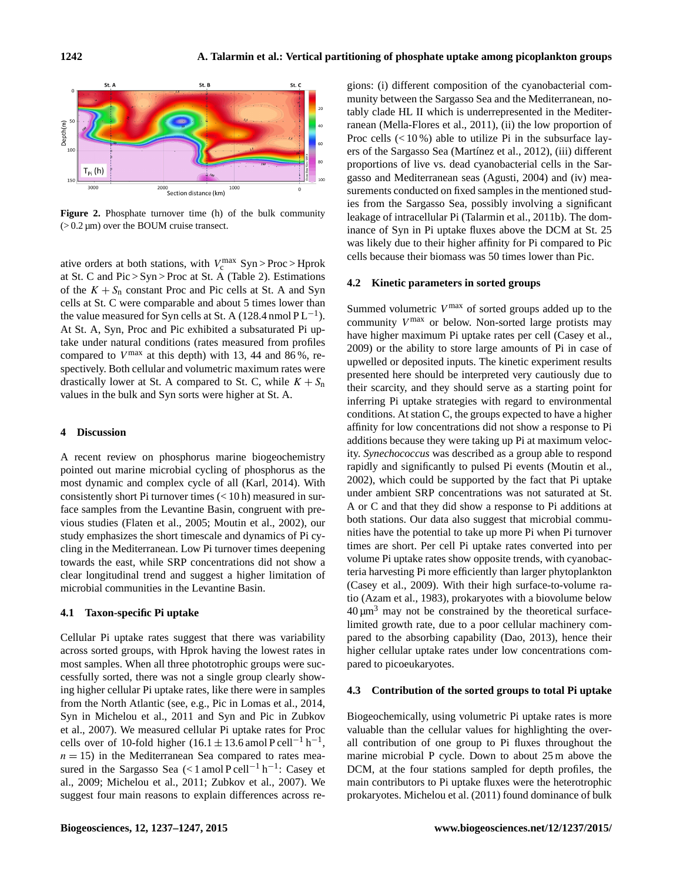

**Figure 2.** Phosphate turnover time (h) of the bulk community  $(> 0.2 \,\mu\text{m})$  over the BOUM cruise transect.

ative orders at both stations, with  $V_c^{\text{max}}$  Syn > Proc > Hprok at St. C and Pic > Syn > Proc at St. A (Table 2). Estimations of the  $K + S_n$  constant Proc and Pic cells at St. A and Syn cells at St. C were comparable and about 5 times lower than the value measured for Syn cells at St. A (128.4 nmol  $PL^{-1}$ ). At St. A, Syn, Proc and Pic exhibited a subsaturated Pi uptake under natural conditions (rates measured from profiles compared to  $V^{\text{max}}$  at this depth) with 13, 44 and 86%, respectively. Both cellular and volumetric maximum rates were drastically lower at St. A compared to St. C, while  $K + S_n$ values in the bulk and Syn sorts were higher at St. A.

### **4 Discussion**

A recent review on phosphorus marine biogeochemistry pointed out marine microbial cycling of phosphorus as the most dynamic and complex cycle of all (Karl, 2014). With consistently short Pi turnover times  $\left($  < 10 h) measured in surface samples from the Levantine Basin, congruent with previous studies (Flaten et al., 2005; Moutin et al., 2002), our study emphasizes the short timescale and dynamics of Pi cycling in the Mediterranean. Low Pi turnover times deepening towards the east, while SRP concentrations did not show a clear longitudinal trend and suggest a higher limitation of microbial communities in the Levantine Basin.

### **4.1 Taxon-specific Pi uptake**

Cellular Pi uptake rates suggest that there was variability across sorted groups, with Hprok having the lowest rates in most samples. When all three phototrophic groups were successfully sorted, there was not a single group clearly showing higher cellular Pi uptake rates, like there were in samples from the North Atlantic (see, e.g., Pic in Lomas et al., 2014, Syn in Michelou et al., 2011 and Syn and Pic in Zubkov et al., 2007). We measured cellular Pi uptake rates for Proc cells over of 10-fold higher (16.1  $\pm$  13.6 amol P cell<sup>-1</sup> h<sup>-1</sup>,  $n = 15$ ) in the Mediterranean Sea compared to rates measured in the Sargasso Sea (<1 amol P cell<sup>-1</sup> h<sup>-1</sup>: Casey et al., 2009; Michelou et al., 2011; Zubkov et al., 2007). We suggest four main reasons to explain differences across regions: (i) different composition of the cyanobacterial community between the Sargasso Sea and the Mediterranean, notably clade HL II which is underrepresented in the Mediterranean (Mella-Flores et al., 2011), (ii) the low proportion of Proc cells  $\left($  < 10 %) able to utilize Pi in the subsurface layers of the Sargasso Sea (Martínez et al., 2012), (iii) different proportions of live vs. dead cyanobacterial cells in the Sargasso and Mediterranean seas (Agusti, 2004) and (iv) measurements conducted on fixed samples in the mentioned studies from the Sargasso Sea, possibly involving a significant leakage of intracellular Pi (Talarmin et al., 2011b). The dominance of Syn in Pi uptake fluxes above the DCM at St. 25 was likely due to their higher affinity for Pi compared to Pic cells because their biomass was 50 times lower than Pic.

### **4.2 Kinetic parameters in sorted groups**

Summed volumetric  $V^{\text{max}}$  of sorted groups added up to the community  $V^{\text{max}}$  or below. Non-sorted large protists may have higher maximum Pi uptake rates per cell (Casey et al., 2009) or the ability to store large amounts of Pi in case of upwelled or deposited inputs. The kinetic experiment results presented here should be interpreted very cautiously due to their scarcity, and they should serve as a starting point for inferring Pi uptake strategies with regard to environmental conditions. At station C, the groups expected to have a higher affinity for low concentrations did not show a response to Pi additions because they were taking up Pi at maximum velocity. *Synechococcus* was described as a group able to respond rapidly and significantly to pulsed Pi events (Moutin et al., 2002), which could be supported by the fact that Pi uptake under ambient SRP concentrations was not saturated at St. A or C and that they did show a response to Pi additions at both stations. Our data also suggest that microbial communities have the potential to take up more Pi when Pi turnover times are short. Per cell Pi uptake rates converted into per volume Pi uptake rates show opposite trends, with cyanobacteria harvesting Pi more efficiently than larger phytoplankton (Casey et al., 2009). With their high surface-to-volume ratio (Azam et al., 1983), prokaryotes with a biovolume below  $40 \mu m^3$  may not be constrained by the theoretical surfacelimited growth rate, due to a poor cellular machinery compared to the absorbing capability (Dao, 2013), hence their higher cellular uptake rates under low concentrations compared to picoeukaryotes.

#### **4.3 Contribution of the sorted groups to total Pi uptake**

Biogeochemically, using volumetric Pi uptake rates is more valuable than the cellular values for highlighting the overall contribution of one group to Pi fluxes throughout the marine microbial P cycle. Down to about 25 m above the DCM, at the four stations sampled for depth profiles, the main contributors to Pi uptake fluxes were the heterotrophic prokaryotes. Michelou et al. (2011) found dominance of bulk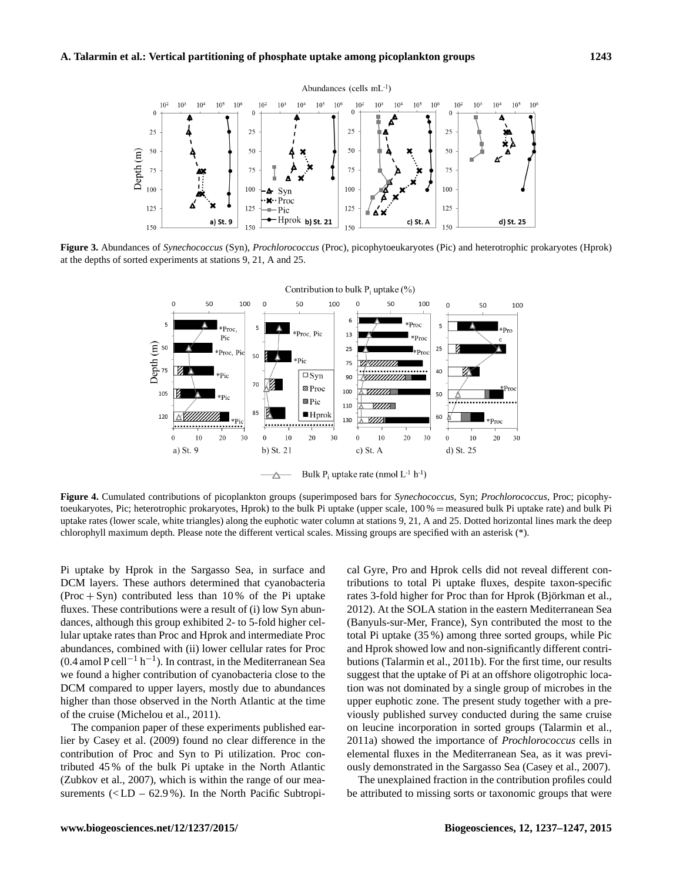

**Figure 3.** Abundances of *Synechococcus* (Syn), *Prochlorococcus* (Proc), picophytoeukaryotes (Pic) and heterotrophic prokaryotes (Hprok) at the depths of sorted experiments at stations 9, 21, A and 25.



Bulk  $P_i$  uptake rate (nmol  $L^{-1}$  h<sup>-1</sup>)

**Figure 4.** Cumulated contributions of picoplankton groups (superimposed bars for *Synechococcus*, Syn; *Prochlorococcus*, Proc; picophytoeukaryotes, Pic; heterotrophic prokaryotes, Hprok) to the bulk Pi uptake (upper scale, 100 % = measured bulk Pi uptake rate) and bulk Pi uptake rates (lower scale, white triangles) along the euphotic water column at stations 9, 21, A and 25. Dotted horizontal lines mark the deep chlorophyll maximum depth. Please note the different vertical scales. Missing groups are specified with an asterisk (\*).

Pi uptake by Hprok in the Sargasso Sea, in surface and DCM layers. These authors determined that cyanobacteria  $(Proc + Syn)$  contributed less than 10% of the Pi uptake fluxes. These contributions were a result of (i) low Syn abundances, although this group exhibited 2- to 5-fold higher cellular uptake rates than Proc and Hprok and intermediate Proc abundances, combined with (ii) lower cellular rates for Proc (0.4 amol P cell<sup>-1</sup> h<sup>-1</sup>). In contrast, in the Mediterranean Sea we found a higher contribution of cyanobacteria close to the DCM compared to upper layers, mostly due to abundances higher than those observed in the North Atlantic at the time of the cruise (Michelou et al., 2011).

The companion paper of these experiments published earlier by Casey et al. (2009) found no clear difference in the contribution of Proc and Syn to Pi utilization. Proc contributed 45 % of the bulk Pi uptake in the North Atlantic (Zubkov et al., 2007), which is within the range of our measurements  $(<$ LD – 62.9%). In the North Pacific Subtropical Gyre, Pro and Hprok cells did not reveal different contributions to total Pi uptake fluxes, despite taxon-specific rates 3-fold higher for Proc than for Hprok (Björkman et al., 2012). At the SOLA station in the eastern Mediterranean Sea (Banyuls-sur-Mer, France), Syn contributed the most to the total Pi uptake (35 %) among three sorted groups, while Pic and Hprok showed low and non-significantly different contributions (Talarmin et al., 2011b). For the first time, our results suggest that the uptake of Pi at an offshore oligotrophic location was not dominated by a single group of microbes in the upper euphotic zone. The present study together with a previously published survey conducted during the same cruise on leucine incorporation in sorted groups (Talarmin et al., 2011a) showed the importance of *Prochlorococcus* cells in elemental fluxes in the Mediterranean Sea, as it was previously demonstrated in the Sargasso Sea (Casey et al., 2007).

The unexplained fraction in the contribution profiles could be attributed to missing sorts or taxonomic groups that were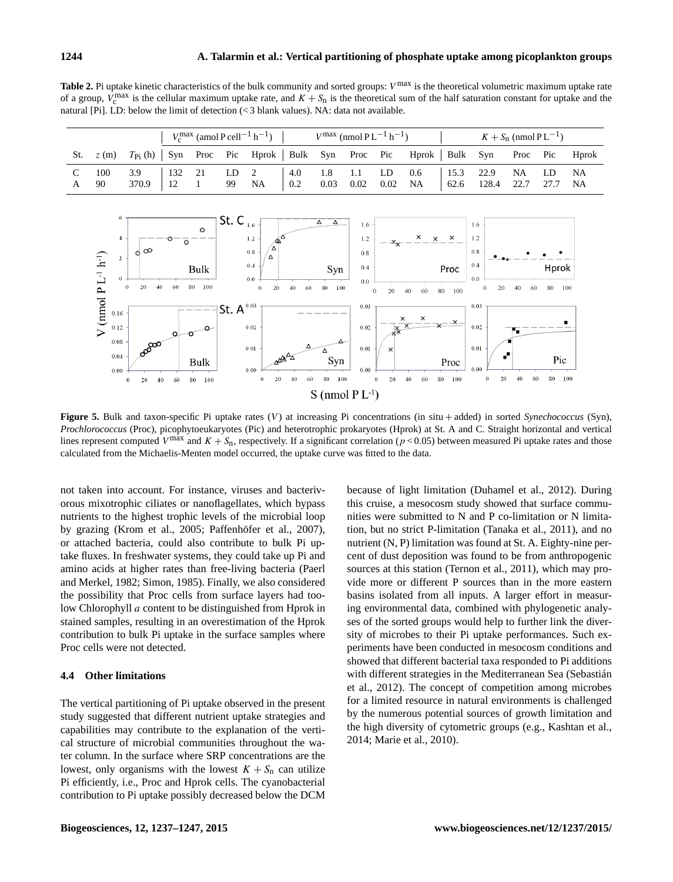Table 2. Pi uptake kinetic characteristics of the bulk community and sorted groups:  $V^{max}$  is the theoretical volumetric maximum uptake rate of a group,  $V_c^{\text{max}}$  is the cellular maximum uptake rate, and  $K + S_n$  is the theoretical sum of the half saturation constant for uptake and the natural [Pi]. LD: below the limit of detection (< 3 blank values). NA: data not available.

|                 |                                                                                                  | $V_c^{\text{max}}$ (amol P cell <sup>-1</sup> h <sup>-1</sup> ) $V^{\text{max}}$ (nmol P L <sup>-1</sup> h <sup>-1</sup> ) $K + S_n$ (nmol P L <sup>-1</sup> ) |  |  |                 |  |  |  |  |                                         |  |  |  |  |  |
|-----------------|--------------------------------------------------------------------------------------------------|----------------------------------------------------------------------------------------------------------------------------------------------------------------|--|--|-----------------|--|--|--|--|-----------------------------------------|--|--|--|--|--|
|                 | St. $z(m)$ $T_{\text{Pi}}(h)$ Syn Proc Pic Hprok Bulk Syn Proc Pic Hprok Bulk Syn Proc Pic Hprok |                                                                                                                                                                |  |  |                 |  |  |  |  |                                         |  |  |  |  |  |
| $C = 100 = 3.9$ |                                                                                                  |                                                                                                                                                                |  |  | $132 \t21$ LD 2 |  |  |  |  | 4.0 1.8 1.1 LD 0.6   15.3 22.9 NA LD NA |  |  |  |  |  |
| A 90            | 370.9 12 1 99 NA                                                                                 |                                                                                                                                                                |  |  |                 |  |  |  |  |                                         |  |  |  |  |  |



**Figure 5.** Bulk and taxon-specific Pi uptake rates (V) at increasing Pi concentrations (in situ + added) in sorted *Synechococcus* (Syn), *Prochlorococcus* (Proc), picophytoeukaryotes (Pic) and heterotrophic prokaryotes (Hprok) at St. A and C. Straight horizontal and vertical lines represent computed  $V^{\text{max}}$  and  $K + S_n$ , respectively. If a significant correlation ( $p < 0.05$ ) between measured Pi uptake rates and those calculated from the Michaelis-Menten model occurred, the uptake curve was fitted to the data.

not taken into account. For instance, viruses and bacterivorous mixotrophic ciliates or nanoflagellates, which bypass nutrients to the highest trophic levels of the microbial loop by grazing (Krom et al., 2005; Paffenhöfer et al., 2007), or attached bacteria, could also contribute to bulk Pi uptake fluxes. In freshwater systems, they could take up Pi and amino acids at higher rates than free-living bacteria (Paerl and Merkel, 1982; Simon, 1985). Finally, we also considered the possibility that Proc cells from surface layers had toolow Chlorophyll a content to be distinguished from Hprok in stained samples, resulting in an overestimation of the Hprok contribution to bulk Pi uptake in the surface samples where Proc cells were not detected.

### **4.4 Other limitations**

The vertical partitioning of Pi uptake observed in the present study suggested that different nutrient uptake strategies and capabilities may contribute to the explanation of the vertical structure of microbial communities throughout the water column. In the surface where SRP concentrations are the lowest, only organisms with the lowest  $K + S_n$  can utilize Pi efficiently, i.e., Proc and Hprok cells. The cyanobacterial contribution to Pi uptake possibly decreased below the DCM because of light limitation (Duhamel et al., 2012). During this cruise, a mesocosm study showed that surface communities were submitted to N and P co-limitation or N limitation, but no strict P-limitation (Tanaka et al., 2011), and no nutrient (N, P) limitation was found at St. A. Eighty-nine percent of dust deposition was found to be from anthropogenic sources at this station (Ternon et al., 2011), which may provide more or different P sources than in the more eastern basins isolated from all inputs. A larger effort in measuring environmental data, combined with phylogenetic analyses of the sorted groups would help to further link the diversity of microbes to their Pi uptake performances. Such experiments have been conducted in mesocosm conditions and showed that different bacterial taxa responded to Pi additions with different strategies in the Mediterranean Sea (Sebastián et al., 2012). The concept of competition among microbes for a limited resource in natural environments is challenged by the numerous potential sources of growth limitation and the high diversity of cytometric groups (e.g., Kashtan et al., 2014; Marie et al., 2010).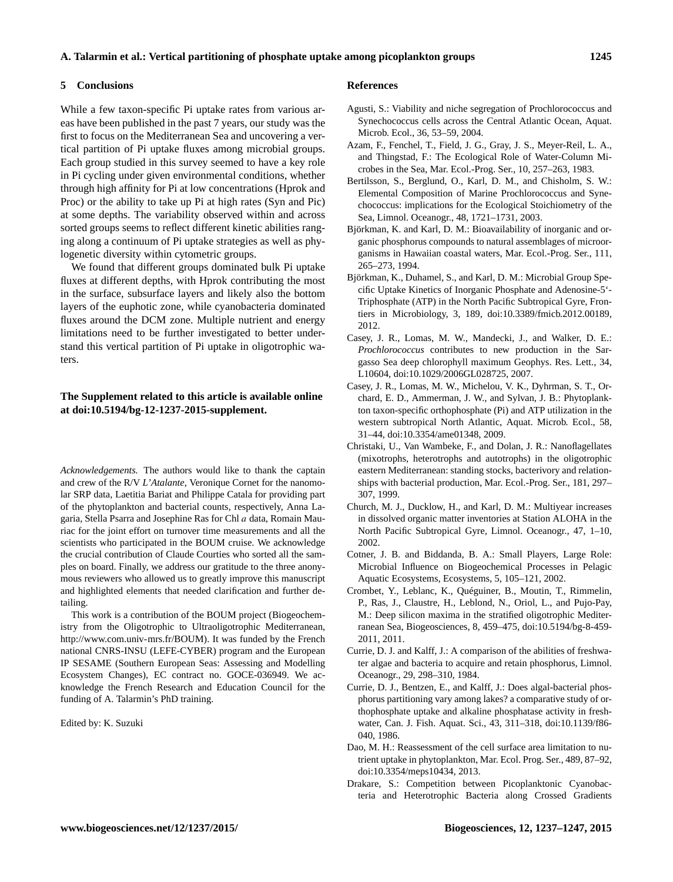### **5 Conclusions**

While a few taxon-specific Pi uptake rates from various areas have been published in the past 7 years, our study was the first to focus on the Mediterranean Sea and uncovering a vertical partition of Pi uptake fluxes among microbial groups. Each group studied in this survey seemed to have a key role in Pi cycling under given environmental conditions, whether through high affinity for Pi at low concentrations (Hprok and Proc) or the ability to take up Pi at high rates (Syn and Pic) at some depths. The variability observed within and across sorted groups seems to reflect different kinetic abilities ranging along a continuum of Pi uptake strategies as well as phylogenetic diversity within cytometric groups.

We found that different groups dominated bulk Pi uptake fluxes at different depths, with Hprok contributing the most in the surface, subsurface layers and likely also the bottom layers of the euphotic zone, while cyanobacteria dominated fluxes around the DCM zone. Multiple nutrient and energy limitations need to be further investigated to better understand this vertical partition of Pi uptake in oligotrophic waters.

# **The Supplement related to this article is available online at [doi:10.5194/bg-12-1237-2015-supplement.](http://dx.doi.org/10.5194/bg-12-1237-2015-supplement)**

*Acknowledgements.* The authors would like to thank the captain and crew of the R/V *L'Atalante*, Veronique Cornet for the nanomolar SRP data, Laetitia Bariat and Philippe Catala for providing part of the phytoplankton and bacterial counts, respectively, Anna Lagaria, Stella Psarra and Josephine Ras for Chl a data, Romain Mauriac for the joint effort on turnover time measurements and all the scientists who participated in the BOUM cruise. We acknowledge the crucial contribution of Claude Courties who sorted all the samples on board. Finally, we address our gratitude to the three anonymous reviewers who allowed us to greatly improve this manuscript and highlighted elements that needed clarification and further detailing.

This work is a contribution of the BOUM project (Biogeochemistry from the Oligotrophic to Ultraoligotrophic Mediterranean, [http://www.com.univ-mrs.fr/BOUM\)](http://www.com.univ-mrs.fr/BOUM). It was funded by the French national CNRS-INSU (LEFE-CYBER) program and the European IP SESAME (Southern European Seas: Assessing and Modelling Ecosystem Changes), EC contract no. GOCE-036949. We acknowledge the French Research and Education Council for the funding of A. Talarmin's PhD training.

Edited by: K. Suzuki

#### **References**

- Agusti, S.: Viability and niche segregation of Prochlorococcus and Synechococcus cells across the Central Atlantic Ocean, Aquat. Microb. Ecol., 36, 53–59, 2004.
- Azam, F., Fenchel, T., Field, J. G., Gray, J. S., Meyer-Reil, L. A., and Thingstad, F.: The Ecological Role of Water-Column Microbes in the Sea, Mar. Ecol.-Prog. Ser., 10, 257–263, 1983.
- Bertilsson, S., Berglund, O., Karl, D. M., and Chisholm, S. W.: Elemental Composition of Marine Prochlorococcus and Synechococcus: implications for the Ecological Stoichiometry of the Sea, Limnol. Oceanogr., 48, 1721–1731, 2003.
- Björkman, K. and Karl, D. M.: Bioavailability of inorganic and organic phosphorus compounds to natural assemblages of microorganisms in Hawaiian coastal waters, Mar. Ecol.-Prog. Ser., 111, 265–273, 1994.
- Björkman, K., Duhamel, S., and Karl, D. M.: Microbial Group Specific Uptake Kinetics of Inorganic Phosphate and Adenosine-5'- Triphosphate (ATP) in the North Pacific Subtropical Gyre, Frontiers in Microbiology, 3, 189, doi[:10.3389/fmicb.2012.00189,](http://dx.doi.org/10.3389/fmicb.2012.00189) 2012.
- Casey, J. R., Lomas, M. W., Mandecki, J., and Walker, D. E.: *Prochlorococcus* contributes to new production in the Sargasso Sea deep chlorophyll maximum Geophys. Res. Lett., 34, L10604, doi[:10.1029/2006GL028725,](http://dx.doi.org/10.1029/2006GL028725) 2007.
- Casey, J. R., Lomas, M. W., Michelou, V. K., Dyhrman, S. T., Orchard, E. D., Ammerman, J. W., and Sylvan, J. B.: Phytoplankton taxon-specific orthophosphate (Pi) and ATP utilization in the western subtropical North Atlantic, Aquat. Microb. Ecol., 58, 31–44, doi[:10.3354/ame01348,](http://dx.doi.org/10.3354/ame01348) 2009.
- Christaki, U., Van Wambeke, F., and Dolan, J. R.: Nanoflagellates (mixotrophs, heterotrophs and autotrophs) in the oligotrophic eastern Mediterranean: standing stocks, bacterivory and relationships with bacterial production, Mar. Ecol.-Prog. Ser., 181, 297– 307, 1999.
- Church, M. J., Ducklow, H., and Karl, D. M.: Multiyear increases in dissolved organic matter inventories at Station ALOHA in the North Pacific Subtropical Gyre, Limnol. Oceanogr., 47, 1–10, 2002.
- Cotner, J. B. and Biddanda, B. A.: Small Players, Large Role: Microbial Influence on Biogeochemical Processes in Pelagic Aquatic Ecosystems, Ecosystems, 5, 105–121, 2002.
- Crombet, Y., Leblanc, K., Quéguiner, B., Moutin, T., Rimmelin, P., Ras, J., Claustre, H., Leblond, N., Oriol, L., and Pujo-Pay, M.: Deep silicon maxima in the stratified oligotrophic Mediterranean Sea, Biogeosciences, 8, 459–475, doi[:10.5194/bg-8-459-](http://dx.doi.org/10.5194/bg-8-459-2011) [2011,](http://dx.doi.org/10.5194/bg-8-459-2011) 2011.
- Currie, D. J. and Kalff, J.: A comparison of the abilities of freshwater algae and bacteria to acquire and retain phosphorus, Limnol. Oceanogr., 29, 298–310, 1984.
- Currie, D. J., Bentzen, E., and Kalff, J.: Does algal-bacterial phosphorus partitioning vary among lakes? a comparative study of orthophosphate uptake and alkaline phosphatase activity in freshwater, Can. J. Fish. Aquat. Sci., 43, 311–318, doi[:10.1139/f86-](http://dx.doi.org/10.1139/f86-040) [040,](http://dx.doi.org/10.1139/f86-040) 1986.
- Dao, M. H.: Reassessment of the cell surface area limitation to nutrient uptake in phytoplankton, Mar. Ecol. Prog. Ser., 489, 87–92, doi[:10.3354/meps10434,](http://dx.doi.org/10.3354/meps10434) 2013.
- Drakare, S.: Competition between Picoplanktonic Cyanobacteria and Heterotrophic Bacteria along Crossed Gradients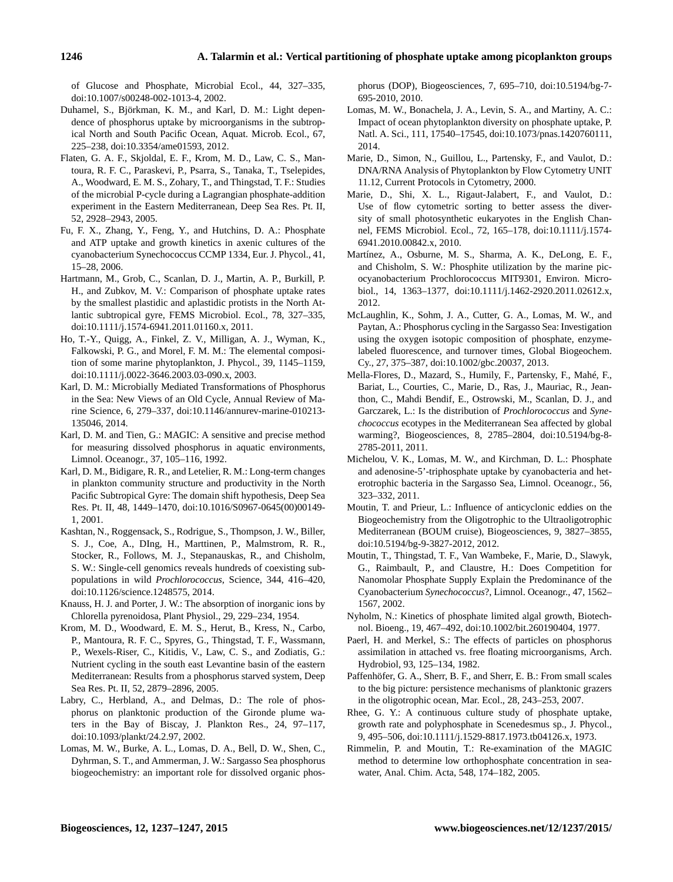of Glucose and Phosphate, Microbial Ecol., 44, 327–335, doi[:10.1007/s00248-002-1013-4,](http://dx.doi.org/10.1007/s00248-002-1013-4) 2002.

- Duhamel, S., Björkman, K. M., and Karl, D. M.: Light dependence of phosphorus uptake by microorganisms in the subtropical North and South Pacific Ocean, Aquat. Microb. Ecol., 67, 225–238, doi[:10.3354/ame01593,](http://dx.doi.org/10.3354/ame01593) 2012.
- Flaten, G. A. F., Skjoldal, E. F., Krom, M. D., Law, C. S., Mantoura, R. F. C., Paraskevi, P., Psarra, S., Tanaka, T., Tselepides, A., Woodward, E. M. S., Zohary, T., and Thingstad, T. F.: Studies of the microbial P-cycle during a Lagrangian phosphate-addition experiment in the Eastern Mediterranean, Deep Sea Res. Pt. II, 52, 2928–2943, 2005.
- Fu, F. X., Zhang, Y., Feng, Y., and Hutchins, D. A.: Phosphate and ATP uptake and growth kinetics in axenic cultures of the cyanobacterium Synechococcus CCMP 1334, Eur. J. Phycol., 41, 15–28, 2006.
- Hartmann, M., Grob, C., Scanlan, D. J., Martin, A. P., Burkill, P. H., and Zubkov, M. V.: Comparison of phosphate uptake rates by the smallest plastidic and aplastidic protists in the North Atlantic subtropical gyre, FEMS Microbiol. Ecol., 78, 327–335, doi[:10.1111/j.1574-6941.2011.01160.x,](http://dx.doi.org/10.1111/j.1574-6941.2011.01160.x) 2011.
- Ho, T.-Y., Quigg, A., Finkel, Z. V., Milligan, A. J., Wyman, K., Falkowski, P. G., and Morel, F. M. M.: The elemental composition of some marine phytoplankton, J. Phycol., 39, 1145–1159, doi[:10.1111/j.0022-3646.2003.03-090.x,](http://dx.doi.org/10.1111/j.0022-3646.2003.03-090.x) 2003.
- Karl, D. M.: Microbially Mediated Transformations of Phosphorus in the Sea: New Views of an Old Cycle, Annual Review of Marine Science, 6, 279–337, doi[:10.1146/annurev-marine-010213-](http://dx.doi.org/10.1146/annurev-marine-010213-135046) [135046,](http://dx.doi.org/10.1146/annurev-marine-010213-135046) 2014.
- Karl, D. M. and Tien, G.: MAGIC: A sensitive and precise method for measuring dissolved phosphorus in aquatic environments, Limnol. Oceanogr., 37, 105–116, 1992.
- Karl, D. M., Bidigare, R. R., and Letelier, R. M.: Long-term changes in plankton community structure and productivity in the North Pacific Subtropical Gyre: The domain shift hypothesis, Deep Sea Res. Pt. II, 48, 1449–1470, doi[:10.1016/S0967-0645\(00\)00149-](http://dx.doi.org/10.1016/S0967-0645(00)00149-1) [1,](http://dx.doi.org/10.1016/S0967-0645(00)00149-1) 2001.
- Kashtan, N., Roggensack, S., Rodrigue, S., Thompson, J. W., Biller, S. J., Coe, A., DIng, H., Marttinen, P., Malmstrom, R. R., Stocker, R., Follows, M. J., Stepanauskas, R., and Chisholm, S. W.: Single-cell genomics reveals hundreds of coexisting subpopulations in wild *Prochlorococcus*, Science, 344, 416–420, doi[:10.1126/science.1248575,](http://dx.doi.org/10.1126/science.1248575) 2014.
- Knauss, H. J. and Porter, J. W.: The absorption of inorganic ions by Chlorella pyrenoidosa, Plant Physiol., 29, 229–234, 1954.
- Krom, M. D., Woodward, E. M. S., Herut, B., Kress, N., Carbo, P., Mantoura, R. F. C., Spyres, G., Thingstad, T. F., Wassmann, P., Wexels-Riser, C., Kitidis, V., Law, C. S., and Zodiatis, G.: Nutrient cycling in the south east Levantine basin of the eastern Mediterranean: Results from a phosphorus starved system, Deep Sea Res. Pt. II, 52, 2879–2896, 2005.
- Labry, C., Herbland, A., and Delmas, D.: The role of phosphorus on planktonic production of the Gironde plume waters in the Bay of Biscay, J. Plankton Res., 24, 97–117, doi[:10.1093/plankt/24.2.97,](http://dx.doi.org/10.1093/plankt/24.2.97) 2002.
- Lomas, M. W., Burke, A. L., Lomas, D. A., Bell, D. W., Shen, C., Dyhrman, S. T., and Ammerman, J. W.: Sargasso Sea phosphorus biogeochemistry: an important role for dissolved organic phos-

phorus (DOP), Biogeosciences, 7, 695–710, doi[:10.5194/bg-7-](http://dx.doi.org/10.5194/bg-7-695-2010) [695-2010,](http://dx.doi.org/10.5194/bg-7-695-2010) 2010.

- Lomas, M. W., Bonachela, J. A., Levin, S. A., and Martiny, A. C.: Impact of ocean phytoplankton diversity on phosphate uptake, P. Natl. A. Sci., 111, 17540–17545, doi[:10.1073/pnas.1420760111,](http://dx.doi.org/10.1073/pnas.1420760111) 2014.
- Marie, D., Simon, N., Guillou, L., Partensky, F., and Vaulot, D.: DNA/RNA Analysis of Phytoplankton by Flow Cytometry UNIT 11.12, Current Protocols in Cytometry, 2000.
- Marie, D., Shi, X. L., Rigaut-Jalabert, F., and Vaulot, D.: Use of flow cytometric sorting to better assess the diversity of small photosynthetic eukaryotes in the English Channel, FEMS Microbiol. Ecol., 72, 165–178, doi[:10.1111/j.1574-](http://dx.doi.org/10.1111/j.1574-6941.2010.00842.x) [6941.2010.00842.x,](http://dx.doi.org/10.1111/j.1574-6941.2010.00842.x) 2010.
- Martínez, A., Osburne, M. S., Sharma, A. K., DeLong, E. F., and Chisholm, S. W.: Phosphite utilization by the marine picocyanobacterium Prochlorococcus MIT9301, Environ. Microbiol., 14, 1363–1377, doi[:10.1111/j.1462-2920.2011.02612.x,](http://dx.doi.org/10.1111/j.1462-2920.2011.02612.x) 2012.
- McLaughlin, K., Sohm, J. A., Cutter, G. A., Lomas, M. W., and Paytan, A.: Phosphorus cycling in the Sargasso Sea: Investigation using the oxygen isotopic composition of phosphate, enzymelabeled fluorescence, and turnover times, Global Biogeochem. Cy., 27, 375–387, doi[:10.1002/gbc.20037,](http://dx.doi.org/10.1002/gbc.20037) 2013.
- Mella-Flores, D., Mazard, S., Humily, F., Partensky, F., Mahé, F., Bariat, L., Courties, C., Marie, D., Ras, J., Mauriac, R., Jeanthon, C., Mahdi Bendif, E., Ostrowski, M., Scanlan, D. J., and Garczarek, L.: Is the distribution of *Prochlorococcus* and *Synechococcus* ecotypes in the Mediterranean Sea affected by global warming?, Biogeosciences, 8, 2785–2804, doi[:10.5194/bg-8-](http://dx.doi.org/10.5194/bg-8-2785-2011) [2785-2011,](http://dx.doi.org/10.5194/bg-8-2785-2011) 2011.
- Michelou, V. K., Lomas, M. W., and Kirchman, D. L.: Phosphate and adenosine-5'-triphosphate uptake by cyanobacteria and heterotrophic bacteria in the Sargasso Sea, Limnol. Oceanogr., 56, 323–332, 2011.
- Moutin, T. and Prieur, L.: Influence of anticyclonic eddies on the Biogeochemistry from the Oligotrophic to the Ultraoligotrophic Mediterranean (BOUM cruise), Biogeosciences, 9, 3827–3855, doi[:10.5194/bg-9-3827-2012,](http://dx.doi.org/10.5194/bg-9-3827-2012) 2012.
- Moutin, T., Thingstad, T. F., Van Wambeke, F., Marie, D., Slawyk, G., Raimbault, P., and Claustre, H.: Does Competition for Nanomolar Phosphate Supply Explain the Predominance of the Cyanobacterium *Synechococcus*?, Limnol. Oceanogr., 47, 1562– 1567, 2002.
- Nyholm, N.: Kinetics of phosphate limited algal growth, Biotechnol. Bioeng., 19, 467–492, doi[:10.1002/bit.260190404,](http://dx.doi.org/10.1002/bit.260190404) 1977.
- Paerl, H. and Merkel, S.: The effects of particles on phosphorus assimilation in attached vs. free floating microorganisms, Arch. Hydrobiol, 93, 125–134, 1982.
- Paffenhöfer, G. A., Sherr, B. F., and Sherr, E. B.: From small scales to the big picture: persistence mechanisms of planktonic grazers in the oligotrophic ocean, Mar. Ecol., 28, 243–253, 2007.
- Rhee, G. Y.: A continuous culture study of phosphate uptake, growth rate and polyphosphate in Scenedesmus sp., J. Phycol., 9, 495–506, doi[:10.1111/j.1529-8817.1973.tb04126.x,](http://dx.doi.org/10.1111/j.1529-8817.1973.tb04126.x) 1973.
- Rimmelin, P. and Moutin, T.: Re-examination of the MAGIC method to determine low orthophosphate concentration in seawater, Anal. Chim. Acta, 548, 174–182, 2005.